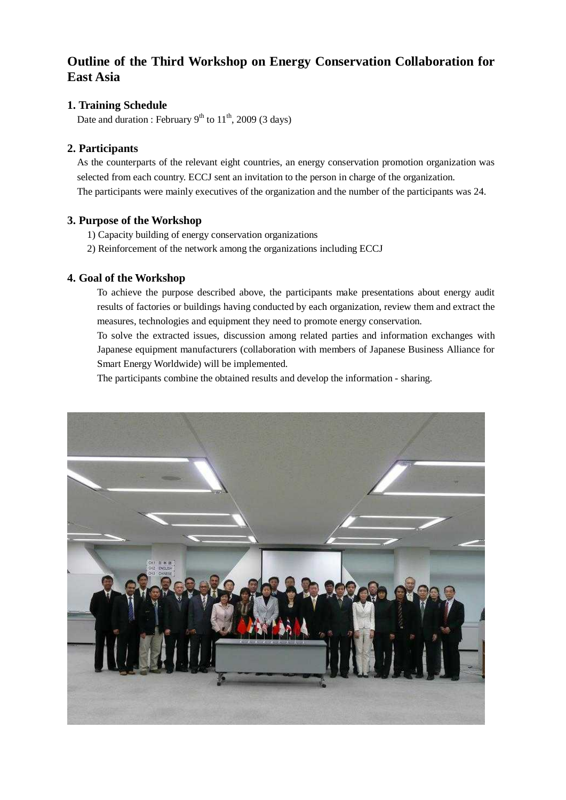# **Outline of the Third Workshop on Energy Conservation Collaboration for East Asia**

## **1. Training Schedule**

Date and duration : February  $9<sup>th</sup>$  to  $11<sup>th</sup>$ , 2009 (3 days)

### **2. Participants**

As the counterparts of the relevant eight countries, an energy conservation promotion organization was selected from each country. ECCJ sent an invitation to the person in charge of the organization. The participants were mainly executives of the organization and the number of the participants was 24.

#### **3. Purpose of the Workshop**

- 1) Capacity building of energy conservation organizations
- 2) Reinforcement of the network among the organizations including ECCJ

#### **4. Goal of the Workshop**

To achieve the purpose described above, the participants make presentations about energy audit results of factories or buildings having conducted by each organization, review them and extract the measures, technologies and equipment they need to promote energy conservation.

To solve the extracted issues, discussion among related parties and information exchanges with Japanese equipment manufacturers (collaboration with members of Japanese Business Alliance for Smart Energy Worldwide) will be implemented.

The participants combine the obtained results and develop the information - sharing.